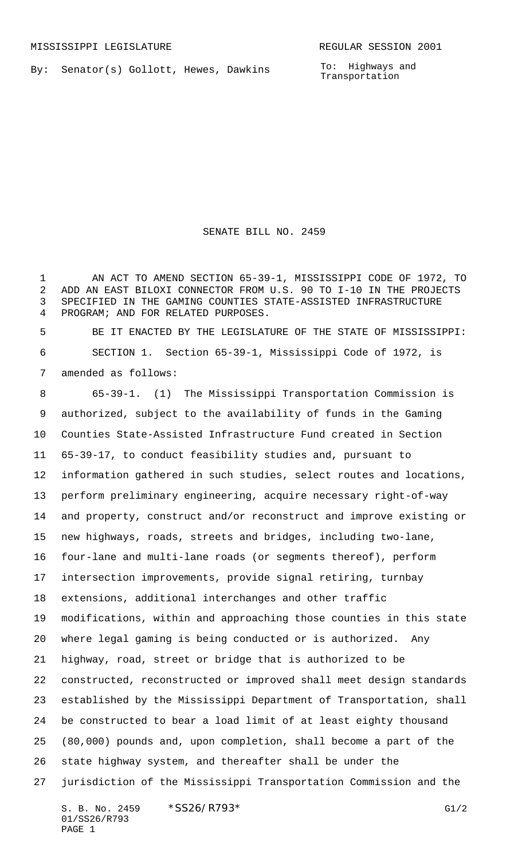By: Senator(s) Gollott, Hewes, Dawkins

To: Highways and Transportation

SENATE BILL NO. 2459

 AN ACT TO AMEND SECTION 65-39-1, MISSISSIPPI CODE OF 1972, TO ADD AN EAST BILOXI CONNECTOR FROM U.S. 90 TO I-10 IN THE PROJECTS SPECIFIED IN THE GAMING COUNTIES STATE-ASSISTED INFRASTRUCTURE PROGRAM; AND FOR RELATED PURPOSES.

 BE IT ENACTED BY THE LEGISLATURE OF THE STATE OF MISSISSIPPI: SECTION 1. Section 65-39-1, Mississippi Code of 1972, is amended as follows:

 65-39-1. (1) The Mississippi Transportation Commission is authorized, subject to the availability of funds in the Gaming Counties State-Assisted Infrastructure Fund created in Section 65-39-17, to conduct feasibility studies and, pursuant to information gathered in such studies, select routes and locations, perform preliminary engineering, acquire necessary right-of-way and property, construct and/or reconstruct and improve existing or new highways, roads, streets and bridges, including two-lane, four-lane and multi-lane roads (or segments thereof), perform intersection improvements, provide signal retiring, turnbay extensions, additional interchanges and other traffic modifications, within and approaching those counties in this state where legal gaming is being conducted or is authorized. Any highway, road, street or bridge that is authorized to be constructed, reconstructed or improved shall meet design standards established by the Mississippi Department of Transportation, shall be constructed to bear a load limit of at least eighty thousand (80,000) pounds and, upon completion, shall become a part of the state highway system, and thereafter shall be under the jurisdiction of the Mississippi Transportation Commission and the

S. B. No. 2459 \* SS26/R793\* G1/2 01/SS26/R793 PAGE 1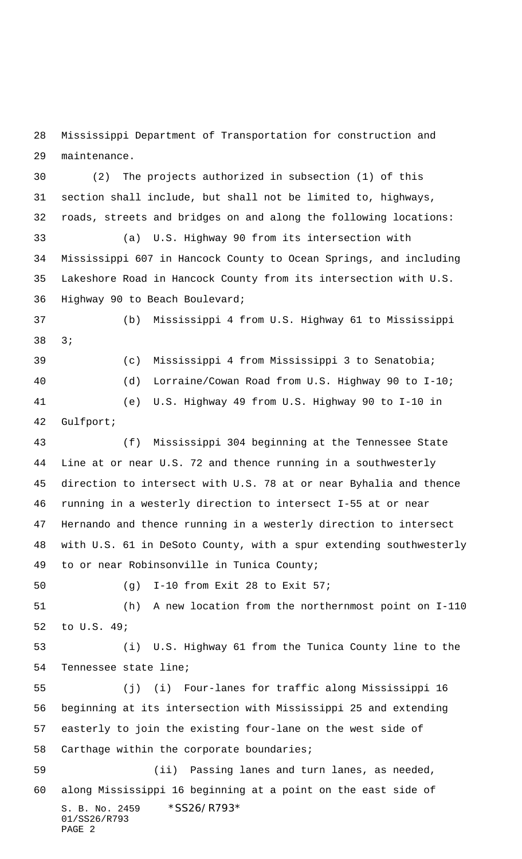Mississippi Department of Transportation for construction and maintenance.

 (2) The projects authorized in subsection (1) of this section shall include, but shall not be limited to, highways, roads, streets and bridges on and along the following locations: (a) U.S. Highway 90 from its intersection with Mississippi 607 in Hancock County to Ocean Springs, and including Lakeshore Road in Hancock County from its intersection with U.S. Highway 90 to Beach Boulevard; (b) Mississippi 4 from U.S. Highway 61 to Mississippi 3; (c) Mississippi 4 from Mississippi 3 to Senatobia; (d) Lorraine/Cowan Road from U.S. Highway 90 to I-10; (e) U.S. Highway 49 from U.S. Highway 90 to I-10 in Gulfport; (f) Mississippi 304 beginning at the Tennessee State Line at or near U.S. 72 and thence running in a southwesterly direction to intersect with U.S. 78 at or near Byhalia and thence running in a westerly direction to intersect I-55 at or near

 Hernando and thence running in a westerly direction to intersect with U.S. 61 in DeSoto County, with a spur extending southwesterly to or near Robinsonville in Tunica County;

(g) I-10 from Exit 28 to Exit 57;

 (h) A new location from the northernmost point on I-110 to U.S. 49;

 (i) U.S. Highway 61 from the Tunica County line to the Tennessee state line;

 (j) (i) Four-lanes for traffic along Mississippi 16 beginning at its intersection with Mississippi 25 and extending easterly to join the existing four-lane on the west side of Carthage within the corporate boundaries;

S. B. No. 2459 \*SS26/R793\* 01/SS26/R793 PAGE 2 (ii) Passing lanes and turn lanes, as needed, along Mississippi 16 beginning at a point on the east side of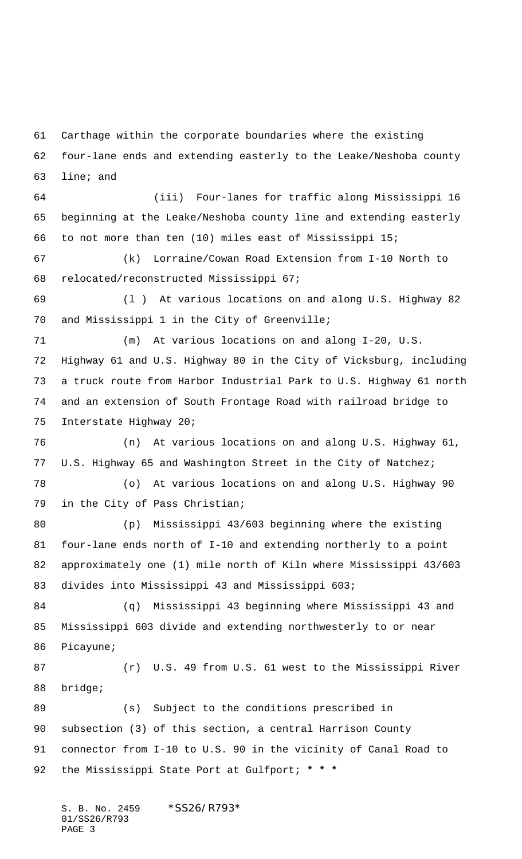Carthage within the corporate boundaries where the existing

 four-lane ends and extending easterly to the Leake/Neshoba county line; and

 (iii) Four-lanes for traffic along Mississippi 16 beginning at the Leake/Neshoba county line and extending easterly to not more than ten (10) miles east of Mississippi 15;

 (k) Lorraine/Cowan Road Extension from I-10 North to relocated/reconstructed Mississippi 67;

 (l ) At various locations on and along U.S. Highway 82 and Mississippi 1 in the City of Greenville;

 (m) At various locations on and along I-20, U.S. Highway 61 and U.S. Highway 80 in the City of Vicksburg, including a truck route from Harbor Industrial Park to U.S. Highway 61 north and an extension of South Frontage Road with railroad bridge to Interstate Highway 20;

 (n) At various locations on and along U.S. Highway 61, U.S. Highway 65 and Washington Street in the City of Natchez;

 (o) At various locations on and along U.S. Highway 90 in the City of Pass Christian;

 (p) Mississippi 43/603 beginning where the existing four-lane ends north of I-10 and extending northerly to a point approximately one (1) mile north of Kiln where Mississippi 43/603 divides into Mississippi 43 and Mississippi 603;

 (q) Mississippi 43 beginning where Mississippi 43 and Mississippi 603 divide and extending northwesterly to or near Picayune;

 (r) U.S. 49 from U.S. 61 west to the Mississippi River bridge;

 (s) Subject to the conditions prescribed in subsection (3) of this section, a central Harrison County connector from I-10 to U.S. 90 in the vicinity of Canal Road to the Mississippi State Port at Gulfport; **\* \* \***

S. B. No. 2459 \* SS26/R793\* 01/SS26/R793 PAGE 3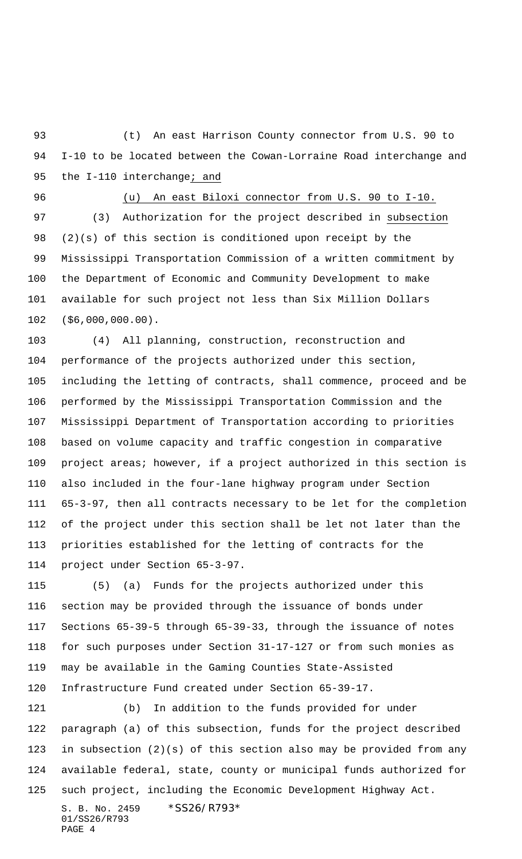(t) An east Harrison County connector from U.S. 90 to I-10 to be located between the Cowan-Lorraine Road interchange and 95 the I-110 interchange; and

## (u) An east Biloxi connector from U.S. 90 to I-10.

 (3) Authorization for the project described in subsection (2)(s) of this section is conditioned upon receipt by the Mississippi Transportation Commission of a written commitment by the Department of Economic and Community Development to make available for such project not less than Six Million Dollars (\$6,000,000.00).

 (4) All planning, construction, reconstruction and performance of the projects authorized under this section, including the letting of contracts, shall commence, proceed and be performed by the Mississippi Transportation Commission and the Mississippi Department of Transportation according to priorities based on volume capacity and traffic congestion in comparative project areas; however, if a project authorized in this section is also included in the four-lane highway program under Section 65-3-97, then all contracts necessary to be let for the completion of the project under this section shall be let not later than the priorities established for the letting of contracts for the project under Section 65-3-97.

 (5) (a) Funds for the projects authorized under this section may be provided through the issuance of bonds under Sections 65-39-5 through 65-39-33, through the issuance of notes for such purposes under Section 31-17-127 or from such monies as may be available in the Gaming Counties State-Assisted Infrastructure Fund created under Section 65-39-17.

S. B. No. 2459 \*SS26/R793\* (b) In addition to the funds provided for under paragraph (a) of this subsection, funds for the project described in subsection (2)(s) of this section also may be provided from any available federal, state, county or municipal funds authorized for such project, including the Economic Development Highway Act.

01/SS26/R793 PAGE 4